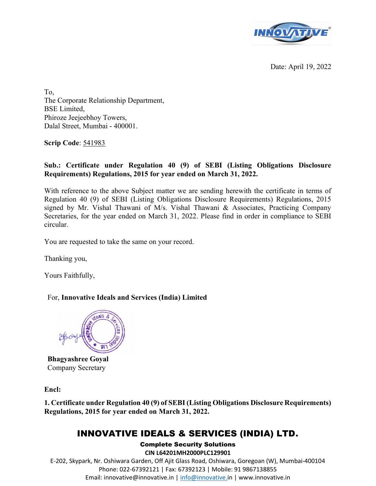

Date: April 19, 2022

To, The Corporate Relationship Department, BSE Limited, Phiroze Jeejeebhoy Towers, Dalal Street, Mumbai - 400001.

Scrip Code: 541983

## Sub.: Certificate under Regulation 40 (9) of SEBI (Listing Obligations Disclosure Requirements) Regulations, 2015 for year ended on March 31, 2022.

With reference to the above Subject matter we are sending herewith the certificate in terms of Regulation 40 (9) of SEBI (Listing Obligations Disclosure Requirements) Regulations, 2015 signed by Mr. Vishal Thawani of M/s. Vishal Thawani & Associates, Practicing Company Secretaries, for the year ended on March 31, 2022. Please find in order in compliance to SEBI circular.

You are requested to take the same on your record.

Thanking you,

Yours Faithfully,

### For, Innovative Ideals and Services (India) Limited



Bhagyashree Goyal Company Secretary

Encl:

1. Certificate under Regulation 40 (9) of SEBI (Listing Obligations Disclosure Requirements) Regulations, 2015 for year ended on March 31, 2022.

# INNOVATIVE IDEALS & SERVICES (INDIA) LTD.

Complete Security Solutions CIN L64201MH2000PLC129901 E-202, Skypark, Nr. Oshiwara Garden, Off Ajit Glass Road, Oshiwara, Goregoan (W), Mumbai-400104 Phone: 022-67392121 | Fax: 67392123 | Mobile: 91 9867138855 Email: innovative@innovative.in | info@innovative.in | www.innovative.in